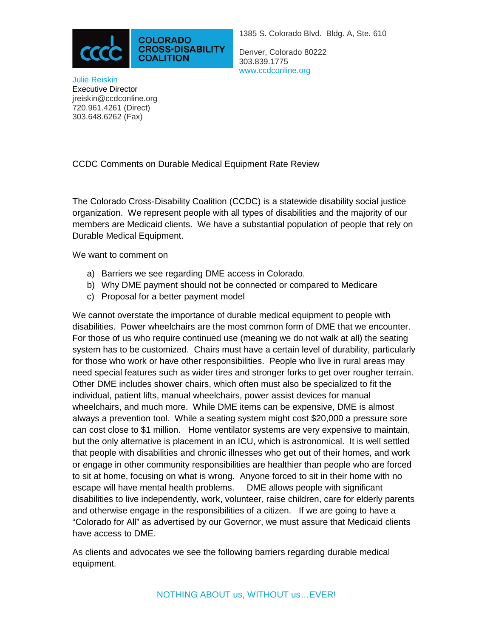

Denver, Colorado 80222 303.839.1775 www.ccdconline.org

Julie Reiskin Executive Director jreiskin@ccdconline.org 720.961.4261 (Direct) [303.648.6262](tel:303-648-6262) (Fax)

CCDC Comments on Durable Medical Equipment Rate Review

The Colorado Cross-Disability Coalition (CCDC) is a statewide disability social justice organization. We represent people with all types of disabilities and the majority of our members are Medicaid clients. We have a substantial population of people that rely on Durable Medical Equipment.

We want to comment on

- a) Barriers we see regarding DME access in Colorado.
- b) Why DME payment should not be connected or compared to Medicare
- c) Proposal for a better payment model

We cannot overstate the importance of durable medical equipment to people with disabilities. Power wheelchairs are the most common form of DME that we encounter. For those of us who require continued use (meaning we do not walk at all) the seating system has to be customized. Chairs must have a certain level of durability, particularly for those who work or have other responsibilities. People who live in rural areas may need special features such as wider tires and stronger forks to get over rougher terrain. Other DME includes shower chairs, which often must also be specialized to fit the individual, patient lifts, manual wheelchairs, power assist devices for manual wheelchairs, and much more. While DME items can be expensive, DME is almost always a prevention tool. While a seating system might cost \$20,000 a pressure sore can cost close to \$1 million. Home ventilator systems are very expensive to maintain, but the only alternative is placement in an ICU, which is astronomical. It is well settled that people with disabilities and chronic illnesses who get out of their homes, and work or engage in other community responsibilities are healthier than people who are forced to sit at home, focusing on what is wrong. Anyone forced to sit in their home with no escape will have mental health problems. DME allows people with significant disabilities to live independently, work, volunteer, raise children, care for elderly parents and otherwise engage in the responsibilities of a citizen. If we are going to have a "Colorado for All" as advertised by our Governor, we must assure that Medicaid clients have access to DME.

As clients and advocates we see the following barriers regarding durable medical equipment.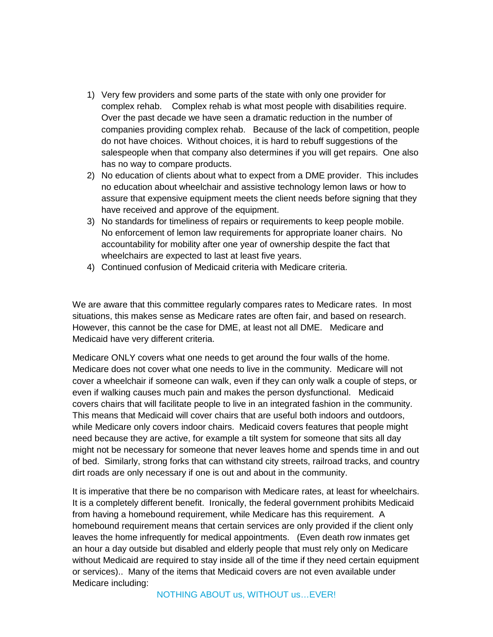- 1) Very few providers and some parts of the state with only one provider for complex rehab. Complex rehab is what most people with disabilities require. Over the past decade we have seen a dramatic reduction in the number of companies providing complex rehab. Because of the lack of competition, people do not have choices. Without choices, it is hard to rebuff suggestions of the salespeople when that company also determines if you will get repairs. One also has no way to compare products.
- 2) No education of clients about what to expect from a DME provider. This includes no education about wheelchair and assistive technology lemon laws or how to assure that expensive equipment meets the client needs before signing that they have received and approve of the equipment.
- 3) No standards for timeliness of repairs or requirements to keep people mobile. No enforcement of lemon law requirements for appropriate loaner chairs. No accountability for mobility after one year of ownership despite the fact that wheelchairs are expected to last at least five years.
- 4) Continued confusion of Medicaid criteria with Medicare criteria.

We are aware that this committee regularly compares rates to Medicare rates. In most situations, this makes sense as Medicare rates are often fair, and based on research. However, this cannot be the case for DME, at least not all DME. Medicare and Medicaid have very different criteria.

Medicare ONLY covers what one needs to get around the four walls of the home. Medicare does not cover what one needs to live in the community. Medicare will not cover a wheelchair if someone can walk, even if they can only walk a couple of steps, or even if walking causes much pain and makes the person dysfunctional. Medicaid covers chairs that will facilitate people to live in an integrated fashion in the community. This means that Medicaid will cover chairs that are useful both indoors and outdoors, while Medicare only covers indoor chairs. Medicaid covers features that people might need because they are active, for example a tilt system for someone that sits all day might not be necessary for someone that never leaves home and spends time in and out of bed. Similarly, strong forks that can withstand city streets, railroad tracks, and country dirt roads are only necessary if one is out and about in the community.

It is imperative that there be no comparison with Medicare rates, at least for wheelchairs. It is a completely different benefit. Ironically, the federal government prohibits Medicaid from having a homebound requirement, while Medicare has this requirement. A homebound requirement means that certain services are only provided if the client only leaves the home infrequently for medical appointments. (Even death row inmates get an hour a day outside but disabled and elderly people that must rely only on Medicare without Medicaid are required to stay inside all of the time if they need certain equipment or services).. Many of the items that Medicaid covers are not even available under Medicare including: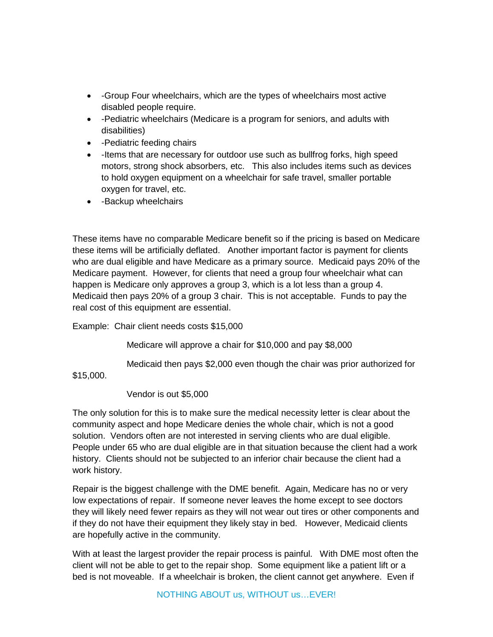- -Group Four wheelchairs, which are the types of wheelchairs most active disabled people require.
- -Pediatric wheelchairs (Medicare is a program for seniors, and adults with disabilities)
- -Pediatric feeding chairs
- -Items that are necessary for outdoor use such as bullfrog forks, high speed motors, strong shock absorbers, etc. This also includes items such as devices to hold oxygen equipment on a wheelchair for safe travel, smaller portable oxygen for travel, etc.
- -Backup wheelchairs

These items have no comparable Medicare benefit so if the pricing is based on Medicare these items will be artificially deflated. Another important factor is payment for clients who are dual eligible and have Medicare as a primary source. Medicaid pays 20% of the Medicare payment. However, for clients that need a group four wheelchair what can happen is Medicare only approves a group 3, which is a lot less than a group 4. Medicaid then pays 20% of a group 3 chair. This is not acceptable. Funds to pay the real cost of this equipment are essential.

Example: Chair client needs costs \$15,000

Medicare will approve a chair for \$10,000 and pay \$8,000

Medicaid then pays \$2,000 even though the chair was prior authorized for

\$15,000.

Vendor is out \$5,000

The only solution for this is to make sure the medical necessity letter is clear about the community aspect and hope Medicare denies the whole chair, which is not a good solution. Vendors often are not interested in serving clients who are dual eligible. People under 65 who are dual eligible are in that situation because the client had a work history. Clients should not be subjected to an inferior chair because the client had a work history.

Repair is the biggest challenge with the DME benefit. Again, Medicare has no or very low expectations of repair. If someone never leaves the home except to see doctors they will likely need fewer repairs as they will not wear out tires or other components and if they do not have their equipment they likely stay in bed. However, Medicaid clients are hopefully active in the community.

With at least the largest provider the repair process is painful. With DME most often the client will not be able to get to the repair shop. Some equipment like a patient lift or a bed is not moveable. If a wheelchair is broken, the client cannot get anywhere. Even if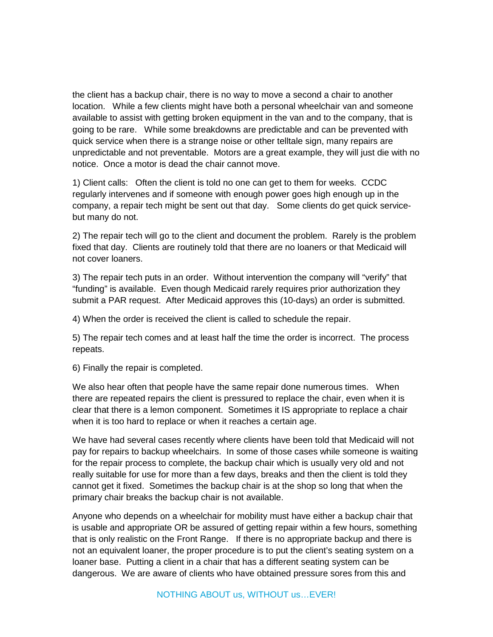the client has a backup chair, there is no way to move a second a chair to another location. While a few clients might have both a personal wheelchair van and someone available to assist with getting broken equipment in the van and to the company, that is going to be rare. While some breakdowns are predictable and can be prevented with quick service when there is a strange noise or other telltale sign, many repairs are unpredictable and not preventable. Motors are a great example, they will just die with no notice. Once a motor is dead the chair cannot move.

1) Client calls: Often the client is told no one can get to them for weeks. CCDC regularly intervenes and if someone with enough power goes high enough up in the company, a repair tech might be sent out that day. Some clients do get quick servicebut many do not.

2) The repair tech will go to the client and document the problem. Rarely is the problem fixed that day. Clients are routinely told that there are no loaners or that Medicaid will not cover loaners.

3) The repair tech puts in an order. Without intervention the company will "verify" that "funding" is available. Even though Medicaid rarely requires prior authorization they submit a PAR request. After Medicaid approves this (10-days) an order is submitted.

4) When the order is received the client is called to schedule the repair.

5) The repair tech comes and at least half the time the order is incorrect. The process repeats.

6) Finally the repair is completed.

We also hear often that people have the same repair done numerous times. When there are repeated repairs the client is pressured to replace the chair, even when it is clear that there is a lemon component. Sometimes it IS appropriate to replace a chair when it is too hard to replace or when it reaches a certain age.

We have had several cases recently where clients have been told that Medicaid will not pay for repairs to backup wheelchairs. In some of those cases while someone is waiting for the repair process to complete, the backup chair which is usually very old and not really suitable for use for more than a few days, breaks and then the client is told they cannot get it fixed. Sometimes the backup chair is at the shop so long that when the primary chair breaks the backup chair is not available.

Anyone who depends on a wheelchair for mobility must have either a backup chair that is usable and appropriate OR be assured of getting repair within a few hours, something that is only realistic on the Front Range. If there is no appropriate backup and there is not an equivalent loaner, the proper procedure is to put the client's seating system on a loaner base. Putting a client in a chair that has a different seating system can be dangerous. We are aware of clients who have obtained pressure sores from this and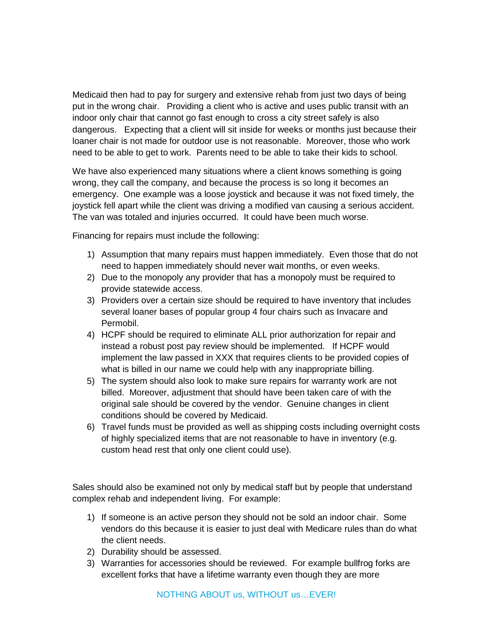Medicaid then had to pay for surgery and extensive rehab from just two days of being put in the wrong chair. Providing a client who is active and uses public transit with an indoor only chair that cannot go fast enough to cross a city street safely is also dangerous. Expecting that a client will sit inside for weeks or months just because their loaner chair is not made for outdoor use is not reasonable. Moreover, those who work need to be able to get to work. Parents need to be able to take their kids to school.

We have also experienced many situations where a client knows something is going wrong, they call the company, and because the process is so long it becomes an emergency. One example was a loose joystick and because it was not fixed timely, the joystick fell apart while the client was driving a modified van causing a serious accident. The van was totaled and injuries occurred. It could have been much worse.

Financing for repairs must include the following:

- 1) Assumption that many repairs must happen immediately. Even those that do not need to happen immediately should never wait months, or even weeks.
- 2) Due to the monopoly any provider that has a monopoly must be required to provide statewide access.
- 3) Providers over a certain size should be required to have inventory that includes several loaner bases of popular group 4 four chairs such as Invacare and Permobil.
- 4) HCPF should be required to eliminate ALL prior authorization for repair and instead a robust post pay review should be implemented. If HCPF would implement the law passed in XXX that requires clients to be provided copies of what is billed in our name we could help with any inappropriate billing.
- 5) The system should also look to make sure repairs for warranty work are not billed. Moreover, adjustment that should have been taken care of with the original sale should be covered by the vendor. Genuine changes in client conditions should be covered by Medicaid.
- 6) Travel funds must be provided as well as shipping costs including overnight costs of highly specialized items that are not reasonable to have in inventory (e.g. custom head rest that only one client could use).

Sales should also be examined not only by medical staff but by people that understand complex rehab and independent living. For example:

- 1) If someone is an active person they should not be sold an indoor chair. Some vendors do this because it is easier to just deal with Medicare rules than do what the client needs.
- 2) Durability should be assessed.
- 3) Warranties for accessories should be reviewed. For example bullfrog forks are excellent forks that have a lifetime warranty even though they are more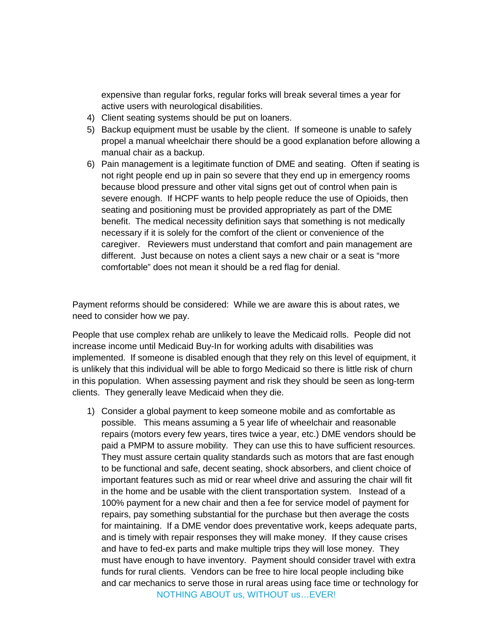expensive than regular forks, regular forks will break several times a year for active users with neurological disabilities.

- 4) Client seating systems should be put on loaners.
- 5) Backup equipment must be usable by the client. If someone is unable to safely propel a manual wheelchair there should be a good explanation before allowing a manual chair as a backup.
- 6) Pain management is a legitimate function of DME and seating. Often if seating is not right people end up in pain so severe that they end up in emergency rooms because blood pressure and other vital signs get out of control when pain is severe enough. If HCPF wants to help people reduce the use of Opioids, then seating and positioning must be provided appropriately as part of the DME benefit. The medical necessity definition says that something is not medically necessary if it is solely for the comfort of the client or convenience of the caregiver. Reviewers must understand that comfort and pain management are different. Just because on notes a client says a new chair or a seat is "more comfortable" does not mean it should be a red flag for denial.

Payment reforms should be considered: While we are aware this is about rates, we need to consider how we pay.

People that use complex rehab are unlikely to leave the Medicaid rolls. People did not increase income until Medicaid Buy-In for working adults with disabilities was implemented. If someone is disabled enough that they rely on this level of equipment, it is unlikely that this individual will be able to forgo Medicaid so there is little risk of churn in this population. When assessing payment and risk they should be seen as long-term clients. They generally leave Medicaid when they die.

NOTHING ABOUT us, WITHOUT us…EVER! 1) Consider a global payment to keep someone mobile and as comfortable as possible. This means assuming a 5 year life of wheelchair and reasonable repairs (motors every few years, tires twice a year, etc.) DME vendors should be paid a PMPM to assure mobility. They can use this to have sufficient resources. They must assure certain quality standards such as motors that are fast enough to be functional and safe, decent seating, shock absorbers, and client choice of important features such as mid or rear wheel drive and assuring the chair will fit in the home and be usable with the client transportation system. Instead of a 100% payment for a new chair and then a fee for service model of payment for repairs, pay something substantial for the purchase but then average the costs for maintaining. If a DME vendor does preventative work, keeps adequate parts, and is timely with repair responses they will make money. If they cause crises and have to fed-ex parts and make multiple trips they will lose money. They must have enough to have inventory. Payment should consider travel with extra funds for rural clients. Vendors can be free to hire local people including bike and car mechanics to serve those in rural areas using face time or technology for